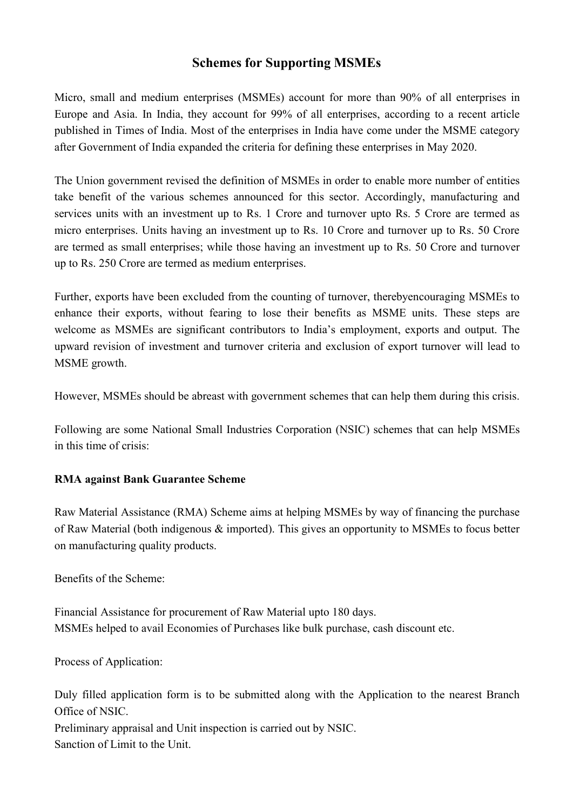# **Schemes for Supporting MSMEs**

Micro, small and medium enterprises (MSMEs) account for more than 90% of all enterprises in Europe and Asia. In India, they account for 99% of all enterprises, according to a recent article published in Times of India. Most of the enterprises in India have come under the MSME category after Government of India expanded the criteria for defining these enterprises in May 2020.

The Union government revised the definition of MSMEs in order to enable more number of entities take benefit of the various schemes announced for this sector. Accordingly, manufacturing and services units with an investment up to Rs. 1 Crore and turnover upto Rs. 5 Crore are termed as micro enterprises. Units having an investment up to Rs. 10 Crore and turnover up to Rs. 50 Crore are termed as small enterprises; while those having an investment up to Rs. 50 Crore and turnover up to Rs. 250 Crore are termed as medium enterprises.

Further, exports have been excluded from the counting of turnover, therebyencouraging MSMEs to enhance their exports, without fearing to lose their benefits as MSME units. These steps are welcome as MSMEs are significant contributors to India's employment, exports and output. The upward revision of investment and turnover criteria and exclusion of export turnover will lead to MSME growth.

However, MSMEs should be abreast with government schemes that can help them during this crisis.<br>Following are some National Small Industries Corporation (NSIC) schemes that can help MSMEs

in this time of crisis:

## **RMA against Bank Guarantee Scheme**

Raw Material Assistance (RMA) Scheme aims at helping MSMEs by way of financing the purchase of Raw Material (both indigenous & imported). This gives an opportunity to MSMEs to focus better on manufacturing quality products.

Benefits of the Scheme:

Financial Assistance for procurement of Raw Material upto 180 days. MSMEs helped to avail Economies of Purchases like bulk purchase, cash discount etc.

Process of Application:

Duly filled application form is to be submitted along with the Application to the nearest Branch Office of NSIC.

Preliminary appraisal and Unit inspection is carried out by NSIC. Sanction of Limit to the Unit.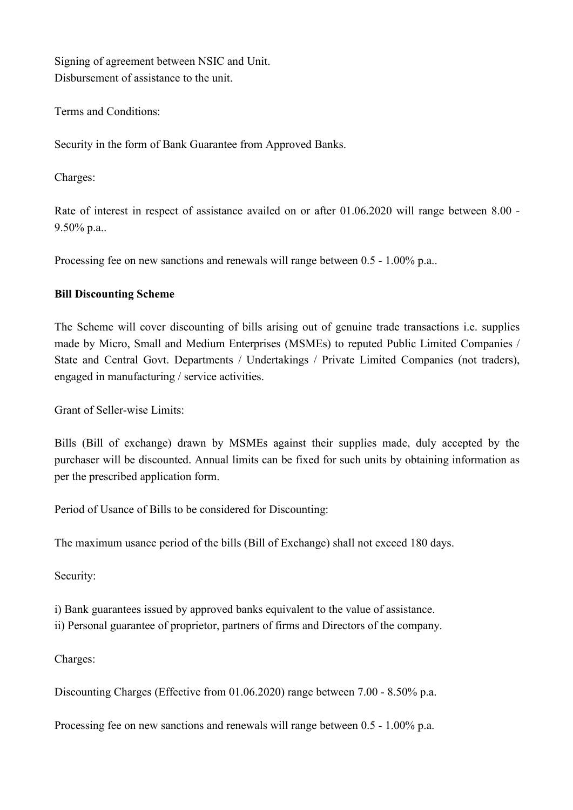Signing of agreement between NSIC and Unit. Disbursement of assistance to the unit.

Terms and Conditions:

Security in the form of Bank Guarantee from Approved Banks.

Charges:

Rate of interest in respect of assistance availed on or after 01.06.2020 will range between 8.00 - 9.50% p.a..

Processing fee on new sanctions and renewals will range between 0.5 - 1.00% p.a..

## **Bill Discounting Scheme**

The Scheme will cover discounting of bills arising out of genuine trade transactions i.e. supplies made by Micro, Small and Medium Enterprises (MSMEs) to reputed Public Limited Companies / State and Central Govt. Departments / Undertakings / Private Limited Companies (not traders), engaged in manufacturing / service activities.

Grant of Seller-wise Limits:

Bills (Bill of exchange) drawn by MSMEs against their supplies made, duly accepted by the purchaser will be discounted. Annual limits can be fixed for such units by obtaining information as per the prescribed application form.

Period of Usance of Bills to be considered for Discounting:

The maximum usance period of the bills (Bill of Exchange) shall not exceed 180 days.

Security:

i) Bank guarantees issued by approved banks equivalent to the value of assistance.

ii) Personal guarantee of proprietor, partners of firms and Directors of the company.

Charges:

Discounting Charges (Effective from 01.06.2020) range between 7.00 - 8.50% p.a.

Processing fee on new sanctions and renewals will range between 0.5 - 1.00% p.a.